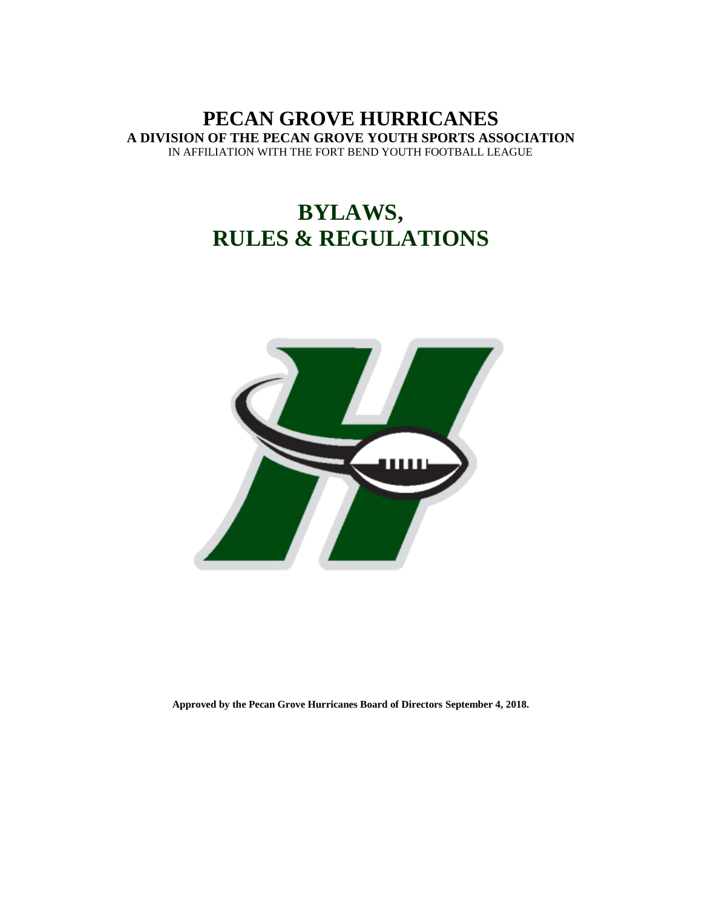## **PECAN GROVE HURRICANES A DIVISION OF THE PECAN GROVE YOUTH SPORTS ASSOCIATION** IN AFFILIATION WITH THE FORT BEND YOUTH FOOTBALL LEAGUE

# **BYLAWS, RULES & REGULATIONS**



**Approved by the Pecan Grove Hurricanes Board of Directors September 4, 2018.**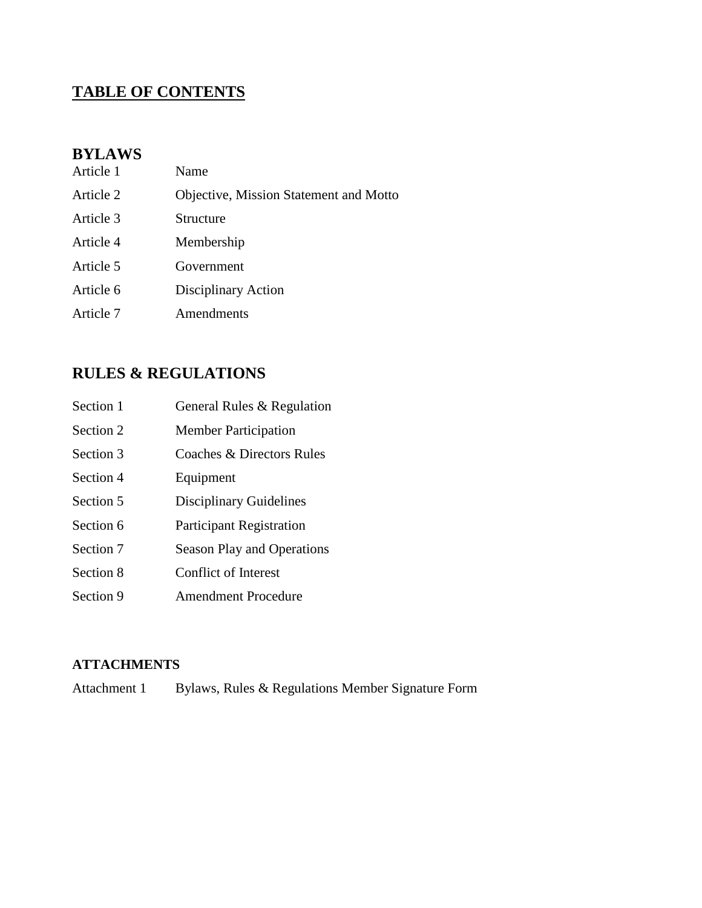# **TABLE OF CONTENTS**

# **BYLAWS**

| Article 1 | Name                                   |
|-----------|----------------------------------------|
| Article 2 | Objective, Mission Statement and Motto |
| Article 3 | Structure                              |
| Article 4 | Membership                             |
| Article 5 | Government                             |
| Article 6 | Disciplinary Action                    |
| Article 7 | Amendments                             |

# **RULES & REGULATIONS**

| Section 1 | General Rules & Regulation        |  |
|-----------|-----------------------------------|--|
| Section 2 | <b>Member Participation</b>       |  |
| Section 3 | Coaches & Directors Rules         |  |
| Section 4 | Equipment                         |  |
| Section 5 | <b>Disciplinary Guidelines</b>    |  |
| Section 6 | <b>Participant Registration</b>   |  |
| Section 7 | <b>Season Play and Operations</b> |  |
| Section 8 | Conflict of Interest              |  |
| Section 9 | Amendment Procedure               |  |

# **ATTACHMENTS**

Attachment 1 Bylaws, Rules & Regulations Member Signature Form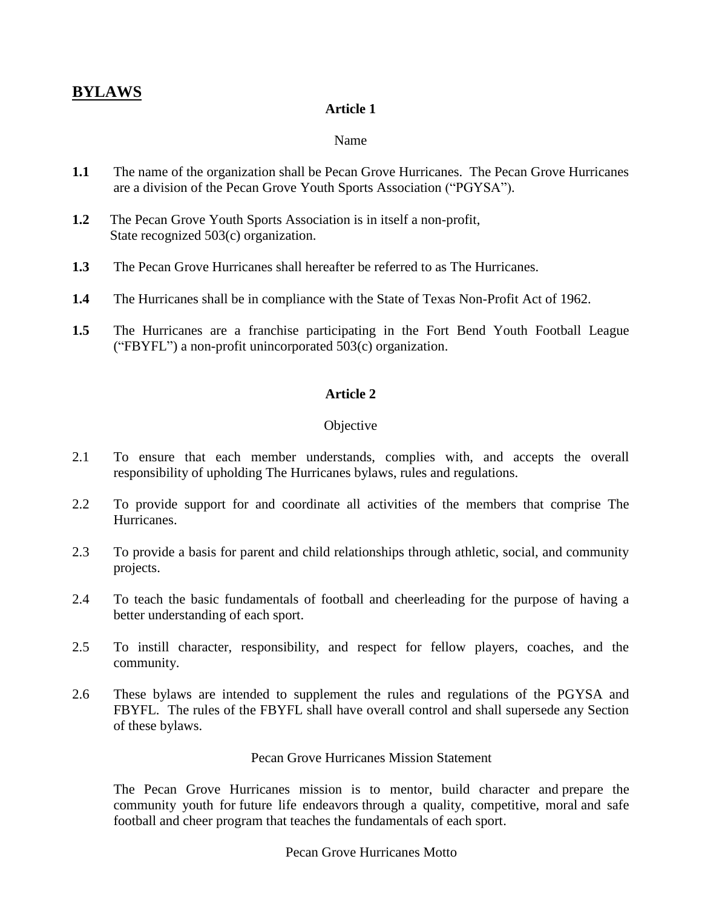# **BYLAWS**

## **Article 1**

#### Name

- **1.1** The name of the organization shall be Pecan Grove Hurricanes. The Pecan Grove Hurricanes are a division of the Pecan Grove Youth Sports Association ("PGYSA").
- **1.2** The Pecan Grove Youth Sports Association is in itself a non-profit, State recognized 503(c) organization.
- **1.3** The Pecan Grove Hurricanes shall hereafter be referred to as The Hurricanes.
- **1.4** The Hurricanes shall be in compliance with the State of Texas Non-Profit Act of 1962.
- **1.5** The Hurricanes are a franchise participating in the Fort Bend Youth Football League ("FBYFL") a non-profit unincorporated 503(c) organization.

## **Article 2**

## **Objective**

- 2.1 To ensure that each member understands, complies with, and accepts the overall responsibility of upholding The Hurricanes bylaws, rules and regulations.
- 2.2 To provide support for and coordinate all activities of the members that comprise The Hurricanes.
- 2.3 To provide a basis for parent and child relationships through athletic, social, and community projects.
- 2.4 To teach the basic fundamentals of football and cheerleading for the purpose of having a better understanding of each sport.
- 2.5 To instill character, responsibility, and respect for fellow players, coaches, and the community.
- 2.6 These bylaws are intended to supplement the rules and regulations of the PGYSA and FBYFL. The rules of the FBYFL shall have overall control and shall supersede any Section of these bylaws.

## Pecan Grove Hurricanes Mission Statement

The Pecan Grove Hurricanes mission is to mentor, build character and prepare the community youth for future life endeavors through a quality, competitive, moral and safe football and cheer program that teaches the fundamentals of each sport.

Pecan Grove Hurricanes Motto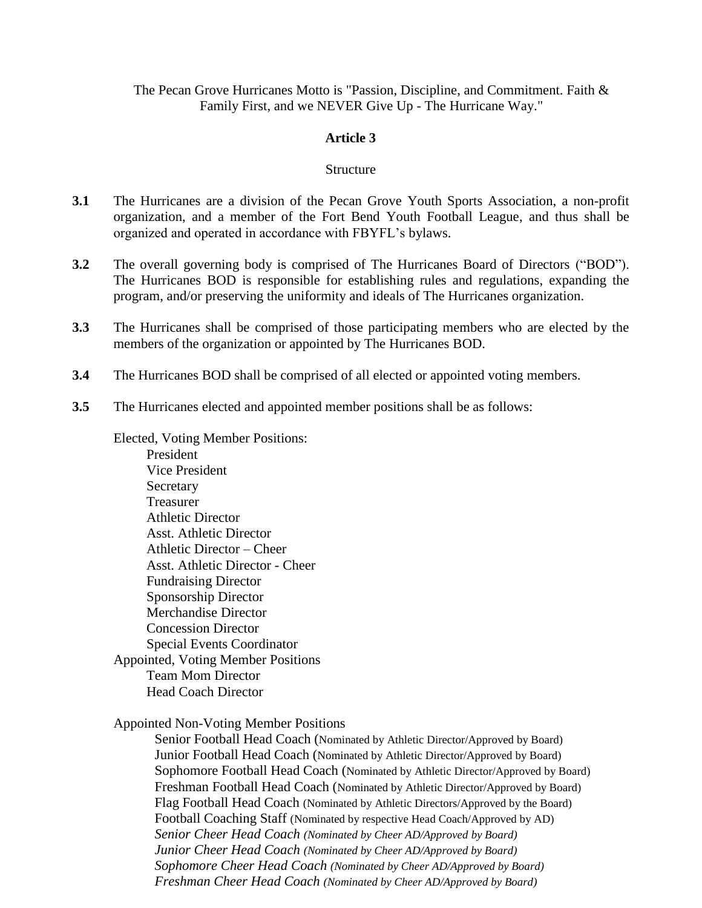The Pecan Grove Hurricanes Motto is "Passion, Discipline, and Commitment. Faith & Family First, and we NEVER Give Up - The Hurricane Way."

#### **Article 3**

#### **Structure**

- **3.1** The Hurricanes are a division of the Pecan Grove Youth Sports Association, a non-profit organization, and a member of the Fort Bend Youth Football League, and thus shall be organized and operated in accordance with FBYFL's bylaws.
- **3.2** The overall governing body is comprised of The Hurricanes Board of Directors ("BOD"). The Hurricanes BOD is responsible for establishing rules and regulations, expanding the program, and/or preserving the uniformity and ideals of The Hurricanes organization.
- **3.3** The Hurricanes shall be comprised of those participating members who are elected by the members of the organization or appointed by The Hurricanes BOD.
- **3.4** The Hurricanes BOD shall be comprised of all elected or appointed voting members.
- **3.5** The Hurricanes elected and appointed member positions shall be as follows:

Elected, Voting Member Positions: President Vice President Secretary Treasurer Athletic Director Asst. Athletic Director Athletic Director – Cheer Asst. Athletic Director - Cheer Fundraising Director Sponsorship Director Merchandise Director Concession Director Special Events Coordinator Appointed, Voting Member Positions Team Mom Director Head Coach Director

Appointed Non-Voting Member Positions

Senior Football Head Coach (Nominated by Athletic Director/Approved by Board) Junior Football Head Coach (Nominated by Athletic Director/Approved by Board) Sophomore Football Head Coach (Nominated by Athletic Director/Approved by Board) Freshman Football Head Coach (Nominated by Athletic Director/Approved by Board) Flag Football Head Coach (Nominated by Athletic Directors/Approved by the Board) Football Coaching Staff (Nominated by respective Head Coach/Approved by AD) *Senior Cheer Head Coach (Nominated by Cheer AD/Approved by Board) Junior Cheer Head Coach (Nominated by Cheer AD/Approved by Board) Sophomore Cheer Head Coach (Nominated by Cheer AD/Approved by Board) Freshman Cheer Head Coach (Nominated by Cheer AD/Approved by Board)*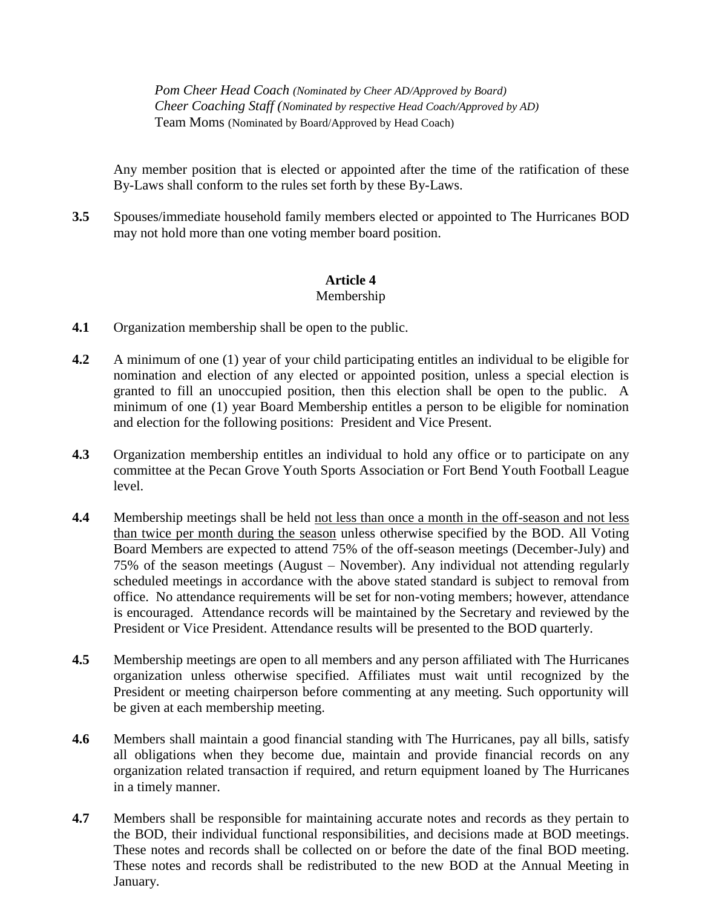*Pom Cheer Head Coach (Nominated by Cheer AD/Approved by Board) Cheer Coaching Staff (Nominated by respective Head Coach/Approved by AD)* Team Moms (Nominated by Board/Approved by Head Coach)

Any member position that is elected or appointed after the time of the ratification of these By-Laws shall conform to the rules set forth by these By-Laws.

**3.5** Spouses/immediate household family members elected or appointed to The Hurricanes BOD may not hold more than one voting member board position.

# **Article 4**

## Membership

- **4.1** Organization membership shall be open to the public.
- **4.2** A minimum of one (1) year of your child participating entitles an individual to be eligible for nomination and election of any elected or appointed position, unless a special election is granted to fill an unoccupied position, then this election shall be open to the public. A minimum of one (1) year Board Membership entitles a person to be eligible for nomination and election for the following positions: President and Vice Present.
- **4.3** Organization membership entitles an individual to hold any office or to participate on any committee at the Pecan Grove Youth Sports Association or Fort Bend Youth Football League level.
- **4.4** Membership meetings shall be held not less than once a month in the off-season and not less than twice per month during the season unless otherwise specified by the BOD. All Voting Board Members are expected to attend 75% of the off-season meetings (December-July) and 75% of the season meetings (August – November). Any individual not attending regularly scheduled meetings in accordance with the above stated standard is subject to removal from office. No attendance requirements will be set for non-voting members; however, attendance is encouraged. Attendance records will be maintained by the Secretary and reviewed by the President or Vice President. Attendance results will be presented to the BOD quarterly.
- **4.5** Membership meetings are open to all members and any person affiliated with The Hurricanes organization unless otherwise specified. Affiliates must wait until recognized by the President or meeting chairperson before commenting at any meeting. Such opportunity will be given at each membership meeting.
- **4.6** Members shall maintain a good financial standing with The Hurricanes, pay all bills, satisfy all obligations when they become due, maintain and provide financial records on any organization related transaction if required, and return equipment loaned by The Hurricanes in a timely manner.
- **4.7** Members shall be responsible for maintaining accurate notes and records as they pertain to the BOD, their individual functional responsibilities, and decisions made at BOD meetings. These notes and records shall be collected on or before the date of the final BOD meeting. These notes and records shall be redistributed to the new BOD at the Annual Meeting in January.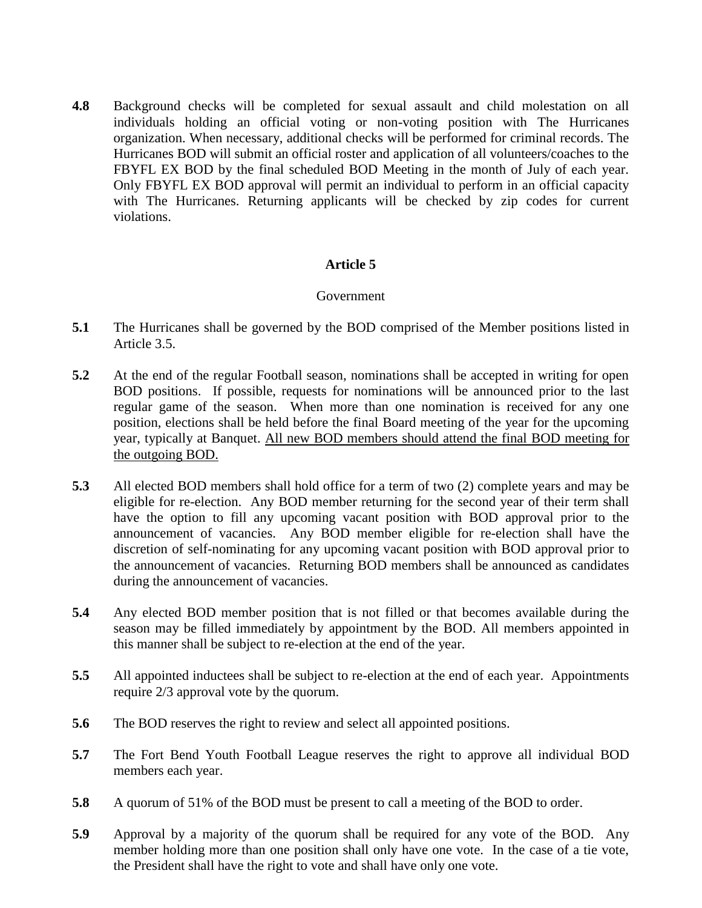**4.8** Background checks will be completed for sexual assault and child molestation on all individuals holding an official voting or non-voting position with The Hurricanes organization. When necessary, additional checks will be performed for criminal records. The Hurricanes BOD will submit an official roster and application of all volunteers/coaches to the FBYFL EX BOD by the final scheduled BOD Meeting in the month of July of each year. Only FBYFL EX BOD approval will permit an individual to perform in an official capacity with The Hurricanes. Returning applicants will be checked by zip codes for current violations.

#### **Article 5**

#### Government

- **5.1** The Hurricanes shall be governed by the BOD comprised of the Member positions listed in Article 3.5.
- **5.2** At the end of the regular Football season, nominations shall be accepted in writing for open BOD positions. If possible, requests for nominations will be announced prior to the last regular game of the season. When more than one nomination is received for any one position, elections shall be held before the final Board meeting of the year for the upcoming year, typically at Banquet. All new BOD members should attend the final BOD meeting for the outgoing BOD.
- **5.3** All elected BOD members shall hold office for a term of two (2) complete years and may be eligible for re-election. Any BOD member returning for the second year of their term shall have the option to fill any upcoming vacant position with BOD approval prior to the announcement of vacancies. Any BOD member eligible for re-election shall have the discretion of self-nominating for any upcoming vacant position with BOD approval prior to the announcement of vacancies. Returning BOD members shall be announced as candidates during the announcement of vacancies.
- **5.4** Any elected BOD member position that is not filled or that becomes available during the season may be filled immediately by appointment by the BOD. All members appointed in this manner shall be subject to re-election at the end of the year.
- **5.5** All appointed inductees shall be subject to re-election at the end of each year. Appointments require 2/3 approval vote by the quorum.
- **5.6** The BOD reserves the right to review and select all appointed positions.
- **5.7** The Fort Bend Youth Football League reserves the right to approve all individual BOD members each year.
- **5.8** A quorum of 51% of the BOD must be present to call a meeting of the BOD to order.
- **5.9** Approval by a majority of the quorum shall be required for any vote of the BOD. Any member holding more than one position shall only have one vote. In the case of a tie vote, the President shall have the right to vote and shall have only one vote.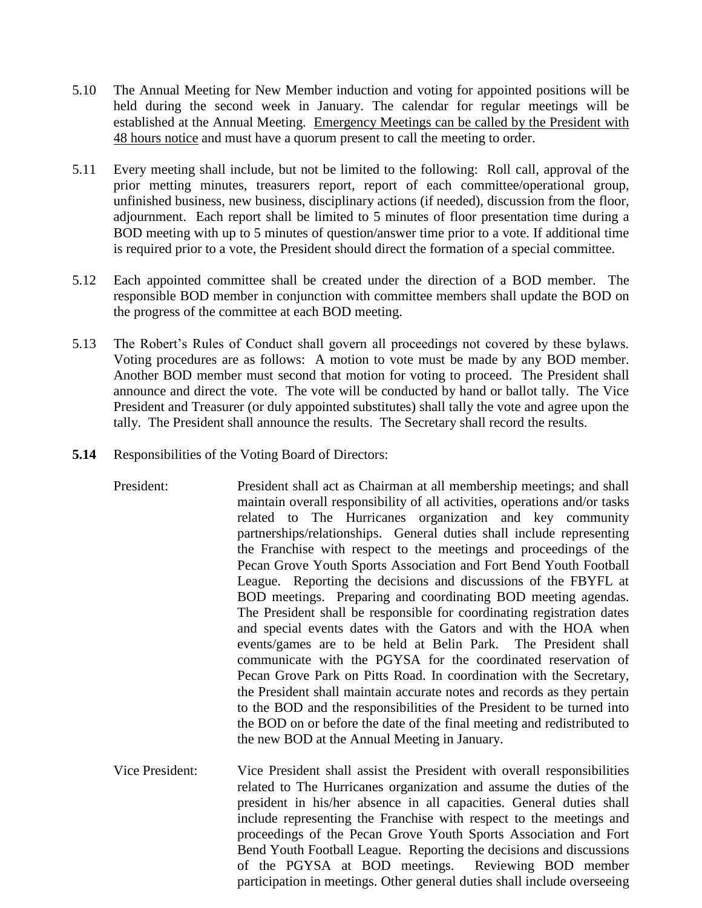- 5.10 The Annual Meeting for New Member induction and voting for appointed positions will be held during the second week in January. The calendar for regular meetings will be established at the Annual Meeting. Emergency Meetings can be called by the President with 48 hours notice and must have a quorum present to call the meeting to order.
- 5.11 Every meeting shall include, but not be limited to the following: Roll call, approval of the prior metting minutes, treasurers report, report of each committee/operational group, unfinished business, new business, disciplinary actions (if needed), discussion from the floor, adjournment. Each report shall be limited to 5 minutes of floor presentation time during a BOD meeting with up to 5 minutes of question/answer time prior to a vote. If additional time is required prior to a vote, the President should direct the formation of a special committee.
- 5.12 Each appointed committee shall be created under the direction of a BOD member. The responsible BOD member in conjunction with committee members shall update the BOD on the progress of the committee at each BOD meeting.
- 5.13 The Robert's Rules of Conduct shall govern all proceedings not covered by these bylaws. Voting procedures are as follows: A motion to vote must be made by any BOD member. Another BOD member must second that motion for voting to proceed. The President shall announce and direct the vote. The vote will be conducted by hand or ballot tally. The Vice President and Treasurer (or duly appointed substitutes) shall tally the vote and agree upon the tally. The President shall announce the results. The Secretary shall record the results.
- **5.14** Responsibilities of the Voting Board of Directors:
	- President: President shall act as Chairman at all membership meetings; and shall maintain overall responsibility of all activities, operations and/or tasks related to The Hurricanes organization and key community partnerships/relationships. General duties shall include representing the Franchise with respect to the meetings and proceedings of the Pecan Grove Youth Sports Association and Fort Bend Youth Football League. Reporting the decisions and discussions of the FBYFL at BOD meetings. Preparing and coordinating BOD meeting agendas. The President shall be responsible for coordinating registration dates and special events dates with the Gators and with the HOA when events/games are to be held at Belin Park. The President shall communicate with the PGYSA for the coordinated reservation of Pecan Grove Park on Pitts Road. In coordination with the Secretary, the President shall maintain accurate notes and records as they pertain to the BOD and the responsibilities of the President to be turned into the BOD on or before the date of the final meeting and redistributed to the new BOD at the Annual Meeting in January.
	- Vice President: Vice President shall assist the President with overall responsibilities related to The Hurricanes organization and assume the duties of the president in his/her absence in all capacities. General duties shall include representing the Franchise with respect to the meetings and proceedings of the Pecan Grove Youth Sports Association and Fort Bend Youth Football League. Reporting the decisions and discussions of the PGYSA at BOD meetings. Reviewing BOD member participation in meetings. Other general duties shall include overseeing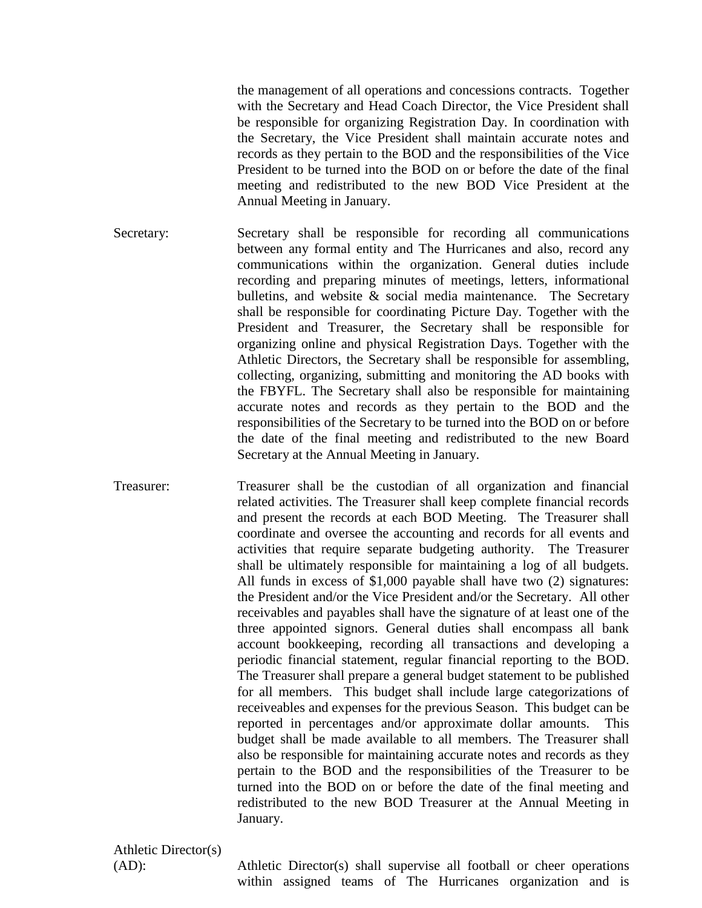the management of all operations and concessions contracts. Together with the Secretary and Head Coach Director, the Vice President shall be responsible for organizing Registration Day. In coordination with the Secretary, the Vice President shall maintain accurate notes and records as they pertain to the BOD and the responsibilities of the Vice President to be turned into the BOD on or before the date of the final meeting and redistributed to the new BOD Vice President at the Annual Meeting in January.

- Secretary: Secretary shall be responsible for recording all communications between any formal entity and The Hurricanes and also, record any communications within the organization. General duties include recording and preparing minutes of meetings, letters, informational bulletins, and website & social media maintenance. The Secretary shall be responsible for coordinating Picture Day. Together with the President and Treasurer, the Secretary shall be responsible for organizing online and physical Registration Days. Together with the Athletic Directors, the Secretary shall be responsible for assembling, collecting, organizing, submitting and monitoring the AD books with the FBYFL. The Secretary shall also be responsible for maintaining accurate notes and records as they pertain to the BOD and the responsibilities of the Secretary to be turned into the BOD on or before the date of the final meeting and redistributed to the new Board Secretary at the Annual Meeting in January.
- Treasurer: Treasurer shall be the custodian of all organization and financial related activities. The Treasurer shall keep complete financial records and present the records at each BOD Meeting. The Treasurer shall coordinate and oversee the accounting and records for all events and activities that require separate budgeting authority. The Treasurer shall be ultimately responsible for maintaining a log of all budgets. All funds in excess of \$1,000 payable shall have two (2) signatures: the President and/or the Vice President and/or the Secretary. All other receivables and payables shall have the signature of at least one of the three appointed signors. General duties shall encompass all bank account bookkeeping, recording all transactions and developing a periodic financial statement, regular financial reporting to the BOD. The Treasurer shall prepare a general budget statement to be published for all members. This budget shall include large categorizations of receiveables and expenses for the previous Season. This budget can be reported in percentages and/or approximate dollar amounts. This budget shall be made available to all members. The Treasurer shall also be responsible for maintaining accurate notes and records as they pertain to the BOD and the responsibilities of the Treasurer to be turned into the BOD on or before the date of the final meeting and redistributed to the new BOD Treasurer at the Annual Meeting in January.

Athletic Director(s)

(AD): Athletic Director(s) shall supervise all football or cheer operations within assigned teams of The Hurricanes organization and is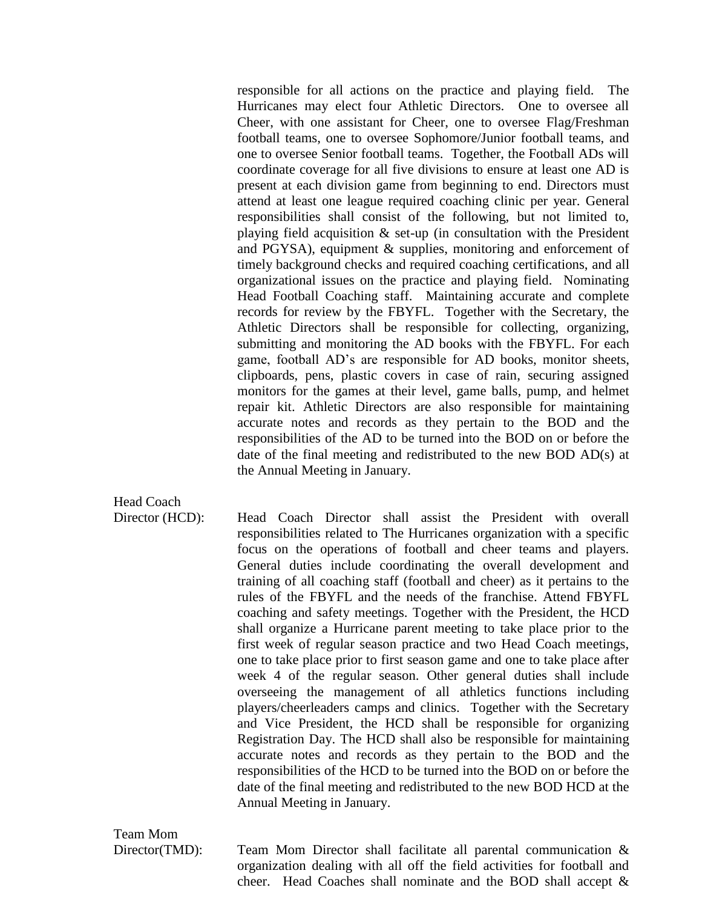responsible for all actions on the practice and playing field. The Hurricanes may elect four Athletic Directors. One to oversee all Cheer, with one assistant for Cheer, one to oversee Flag/Freshman football teams, one to oversee Sophomore/Junior football teams, and one to oversee Senior football teams. Together, the Football ADs will coordinate coverage for all five divisions to ensure at least one AD is present at each division game from beginning to end. Directors must attend at least one league required coaching clinic per year. General responsibilities shall consist of the following, but not limited to, playing field acquisition & set-up (in consultation with the President and PGYSA), equipment & supplies, monitoring and enforcement of timely background checks and required coaching certifications, and all organizational issues on the practice and playing field. Nominating Head Football Coaching staff. Maintaining accurate and complete records for review by the FBYFL. Together with the Secretary, the Athletic Directors shall be responsible for collecting, organizing, submitting and monitoring the AD books with the FBYFL. For each game, football AD's are responsible for AD books, monitor sheets, clipboards, pens, plastic covers in case of rain, securing assigned monitors for the games at their level, game balls, pump, and helmet repair kit. Athletic Directors are also responsible for maintaining accurate notes and records as they pertain to the BOD and the responsibilities of the AD to be turned into the BOD on or before the date of the final meeting and redistributed to the new BOD AD(s) at the Annual Meeting in January.

Head Coach

Director (HCD): Head Coach Director shall assist the President with overall responsibilities related to The Hurricanes organization with a specific focus on the operations of football and cheer teams and players. General duties include coordinating the overall development and training of all coaching staff (football and cheer) as it pertains to the rules of the FBYFL and the needs of the franchise. Attend FBYFL coaching and safety meetings. Together with the President, the HCD shall organize a Hurricane parent meeting to take place prior to the first week of regular season practice and two Head Coach meetings, one to take place prior to first season game and one to take place after week 4 of the regular season. Other general duties shall include overseeing the management of all athletics functions including players/cheerleaders camps and clinics. Together with the Secretary and Vice President, the HCD shall be responsible for organizing Registration Day. The HCD shall also be responsible for maintaining accurate notes and records as they pertain to the BOD and the responsibilities of the HCD to be turned into the BOD on or before the date of the final meeting and redistributed to the new BOD HCD at the Annual Meeting in January.

Team Mom

Director(TMD): Team Mom Director shall facilitate all parental communication & organization dealing with all off the field activities for football and cheer. Head Coaches shall nominate and the BOD shall accept &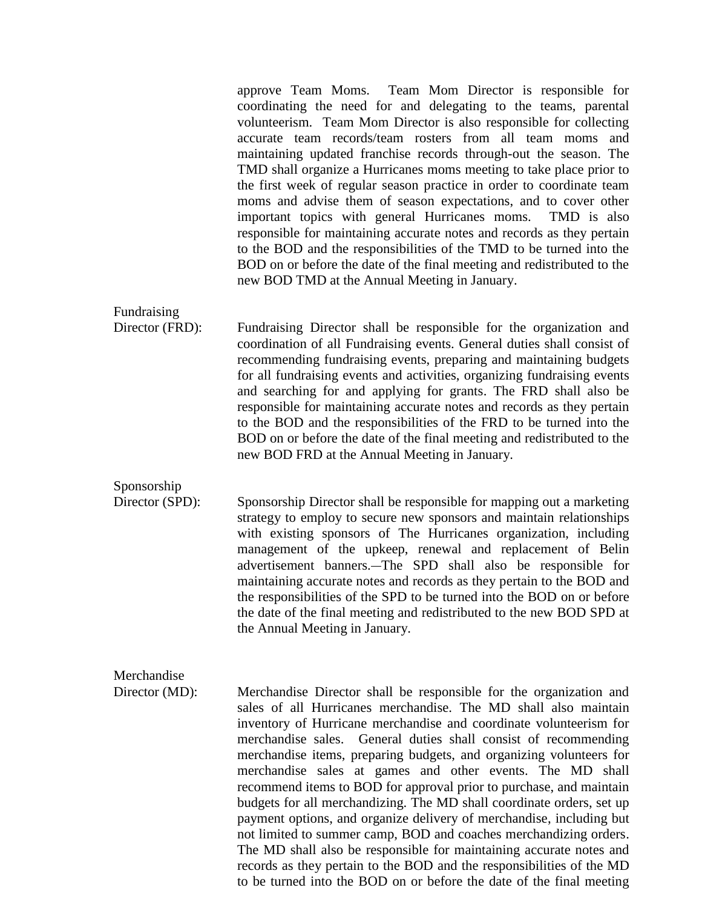approve Team Moms. Team Mom Director is responsible for coordinating the need for and delegating to the teams, parental volunteerism. Team Mom Director is also responsible for collecting accurate team records/team rosters from all team moms and maintaining updated franchise records through-out the season. The TMD shall organize a Hurricanes moms meeting to take place prior to the first week of regular season practice in order to coordinate team moms and advise them of season expectations, and to cover other important topics with general Hurricanes moms. TMD is also responsible for maintaining accurate notes and records as they pertain to the BOD and the responsibilities of the TMD to be turned into the BOD on or before the date of the final meeting and redistributed to the new BOD TMD at the Annual Meeting in January. Fundraising Director (FRD): Fundraising Director shall be responsible for the organization and coordination of all Fundraising events. General duties shall consist of recommending fundraising events, preparing and maintaining budgets for all fundraising events and activities, organizing fundraising events and searching for and applying for grants. The FRD shall also be responsible for maintaining accurate notes and records as they pertain to the BOD and the responsibilities of the FRD to be turned into the BOD on or before the date of the final meeting and redistributed to the new BOD FRD at the Annual Meeting in January. Sponsorship Director (SPD): Sponsorship Director shall be responsible for mapping out a marketing strategy to employ to secure new sponsors and maintain relationships with existing sponsors of The Hurricanes organization, including management of the upkeep, renewal and replacement of Belin advertisement banners. The SPD shall also be responsible for maintaining accurate notes and records as they pertain to the BOD and the responsibilities of the SPD to be turned into the BOD on or before the date of the final meeting and redistributed to the new BOD SPD at the Annual Meeting in January. Merchandise Director (MD): Merchandise Director shall be responsible for the organization and sales of all Hurricanes merchandise. The MD shall also maintain inventory of Hurricane merchandise and coordinate volunteerism for merchandise sales. General duties shall consist of recommending merchandise items, preparing budgets, and organizing volunteers for merchandise sales at games and other events. The MD shall recommend items to BOD for approval prior to purchase, and maintain budgets for all merchandizing. The MD shall coordinate orders, set up payment options, and organize delivery of merchandise, including but not limited to summer camp, BOD and coaches merchandizing orders. The MD shall also be responsible for maintaining accurate notes and records as they pertain to the BOD and the responsibilities of the MD

to be turned into the BOD on or before the date of the final meeting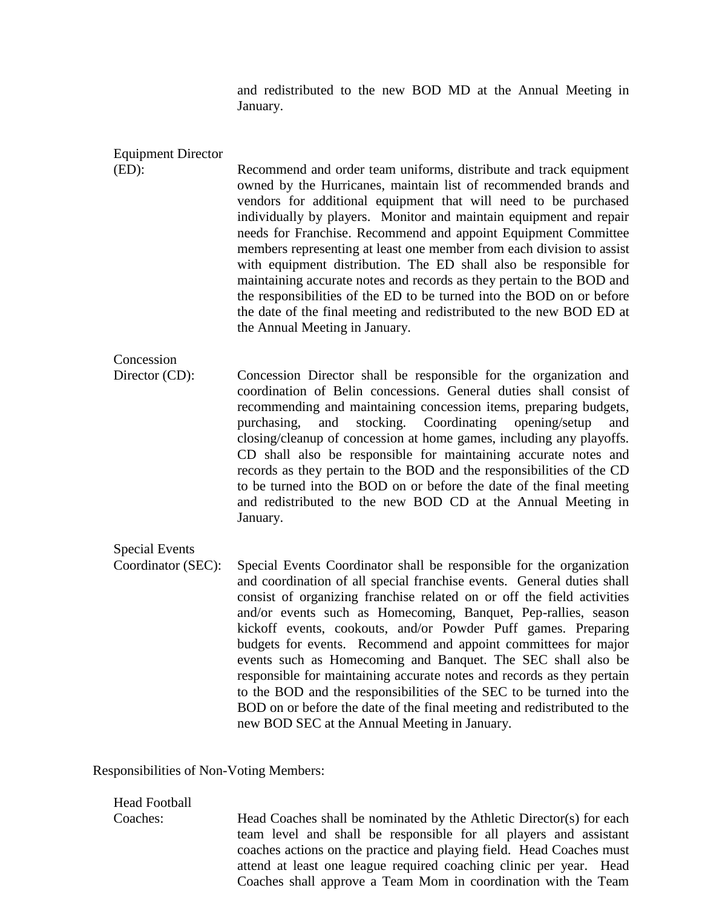and redistributed to the new BOD MD at the Annual Meeting in January.

#### Equipment Director

(ED): Recommend and order team uniforms, distribute and track equipment owned by the Hurricanes, maintain list of recommended brands and vendors for additional equipment that will need to be purchased individually by players. Monitor and maintain equipment and repair needs for Franchise. Recommend and appoint Equipment Committee members representing at least one member from each division to assist with equipment distribution. The ED shall also be responsible for maintaining accurate notes and records as they pertain to the BOD and the responsibilities of the ED to be turned into the BOD on or before the date of the final meeting and redistributed to the new BOD ED at the Annual Meeting in January.

#### Concession

Director (CD): Concession Director shall be responsible for the organization and coordination of Belin concessions. General duties shall consist of recommending and maintaining concession items, preparing budgets, purchasing, and stocking. Coordinating opening/setup and closing/cleanup of concession at home games, including any playoffs. CD shall also be responsible for maintaining accurate notes and records as they pertain to the BOD and the responsibilities of the CD to be turned into the BOD on or before the date of the final meeting and redistributed to the new BOD CD at the Annual Meeting in January.

## Special Events

Coordinator (SEC): Special Events Coordinator shall be responsible for the organization and coordination of all special franchise events. General duties shall consist of organizing franchise related on or off the field activities and/or events such as Homecoming, Banquet, Pep-rallies, season kickoff events, cookouts, and/or Powder Puff games. Preparing budgets for events. Recommend and appoint committees for major events such as Homecoming and Banquet. The SEC shall also be responsible for maintaining accurate notes and records as they pertain to the BOD and the responsibilities of the SEC to be turned into the BOD on or before the date of the final meeting and redistributed to the new BOD SEC at the Annual Meeting in January.

Responsibilities of Non-Voting Members:

# Head Football Coaches: Head Coaches shall be nominated by the Athletic Director(s) for each team level and shall be responsible for all players and assistant coaches actions on the practice and playing field. Head Coaches must attend at least one league required coaching clinic per year. Head Coaches shall approve a Team Mom in coordination with the Team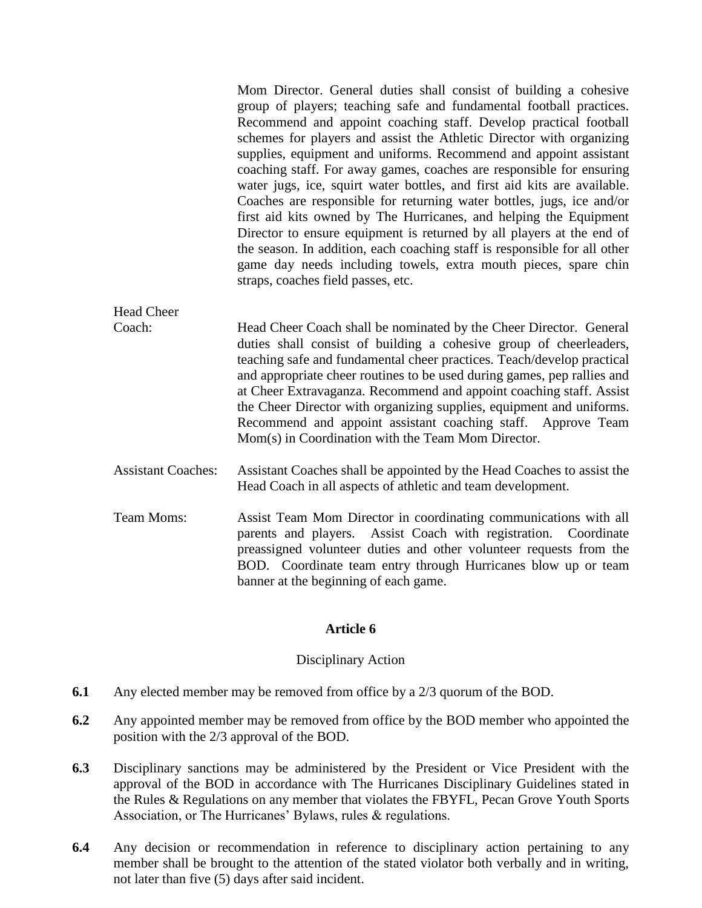Mom Director. General duties shall consist of building a cohesive group of players; teaching safe and fundamental football practices. Recommend and appoint coaching staff. Develop practical football schemes for players and assist the Athletic Director with organizing supplies, equipment and uniforms. Recommend and appoint assistant coaching staff. For away games, coaches are responsible for ensuring water jugs, ice, squirt water bottles, and first aid kits are available. Coaches are responsible for returning water bottles, jugs, ice and/or first aid kits owned by The Hurricanes, and helping the Equipment Director to ensure equipment is returned by all players at the end of the season. In addition, each coaching staff is responsible for all other game day needs including towels, extra mouth pieces, spare chin straps, coaches field passes, etc. Head Cheer Coach: Head Cheer Coach shall be nominated by the Cheer Director. General duties shall consist of building a cohesive group of cheerleaders, teaching safe and fundamental cheer practices. Teach/develop practical and appropriate cheer routines to be used during games, pep rallies and at Cheer Extravaganza. Recommend and appoint coaching staff. Assist the Cheer Director with organizing supplies, equipment and uniforms.

- Recommend and appoint assistant coaching staff. Approve Team Mom(s) in Coordination with the Team Mom Director.
- Assistant Coaches: Assistant Coaches shall be appointed by the Head Coaches to assist the Head Coach in all aspects of athletic and team development.
- Team Moms: Assist Team Mom Director in coordinating communications with all parents and players. Assist Coach with registration. Coordinate preassigned volunteer duties and other volunteer requests from the BOD. Coordinate team entry through Hurricanes blow up or team banner at the beginning of each game.

## **Article 6**

#### Disciplinary Action

- **6.1** Any elected member may be removed from office by a 2/3 quorum of the BOD.
- **6.2** Any appointed member may be removed from office by the BOD member who appointed the position with the 2/3 approval of the BOD.
- **6.3** Disciplinary sanctions may be administered by the President or Vice President with the approval of the BOD in accordance with The Hurricanes Disciplinary Guidelines stated in the Rules & Regulations on any member that violates the FBYFL, Pecan Grove Youth Sports Association, or The Hurricanes' Bylaws, rules & regulations.
- **6.4** Any decision or recommendation in reference to disciplinary action pertaining to any member shall be brought to the attention of the stated violator both verbally and in writing, not later than five (5) days after said incident.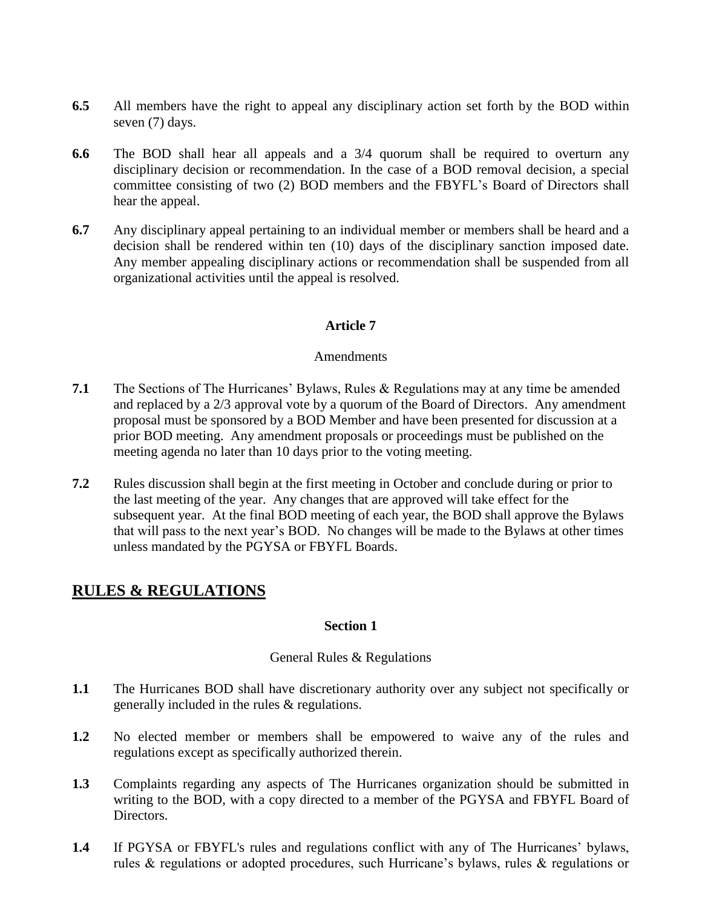- **6.5** All members have the right to appeal any disciplinary action set forth by the BOD within seven (7) days.
- **6.6** The BOD shall hear all appeals and a 3/4 quorum shall be required to overturn any disciplinary decision or recommendation. In the case of a BOD removal decision, a special committee consisting of two (2) BOD members and the FBYFL's Board of Directors shall hear the appeal.
- **6.7** Any disciplinary appeal pertaining to an individual member or members shall be heard and a decision shall be rendered within ten (10) days of the disciplinary sanction imposed date. Any member appealing disciplinary actions or recommendation shall be suspended from all organizational activities until the appeal is resolved.

## **Article 7**

#### **Amendments**

- **7.1** The Sections of The Hurricanes' Bylaws, Rules & Regulations may at any time be amended and replaced by a 2/3 approval vote by a quorum of the Board of Directors. Any amendment proposal must be sponsored by a BOD Member and have been presented for discussion at a prior BOD meeting. Any amendment proposals or proceedings must be published on the meeting agenda no later than 10 days prior to the voting meeting.
- **7.2** Rules discussion shall begin at the first meeting in October and conclude during or prior to the last meeting of the year. Any changes that are approved will take effect for the subsequent year. At the final BOD meeting of each year, the BOD shall approve the Bylaws that will pass to the next year's BOD. No changes will be made to the Bylaws at other times unless mandated by the PGYSA or FBYFL Boards.

# **RULES & REGULATIONS**

#### **Section 1**

#### General Rules & Regulations

- **1.1** The Hurricanes BOD shall have discretionary authority over any subject not specifically or generally included in the rules & regulations.
- **1.2** No elected member or members shall be empowered to waive any of the rules and regulations except as specifically authorized therein.
- **1.3** Complaints regarding any aspects of The Hurricanes organization should be submitted in writing to the BOD, with a copy directed to a member of the PGYSA and FBYFL Board of Directors.
- **1.4** If PGYSA or FBYFL's rules and regulations conflict with any of The Hurricanes' bylaws, rules & regulations or adopted procedures, such Hurricane's bylaws, rules & regulations or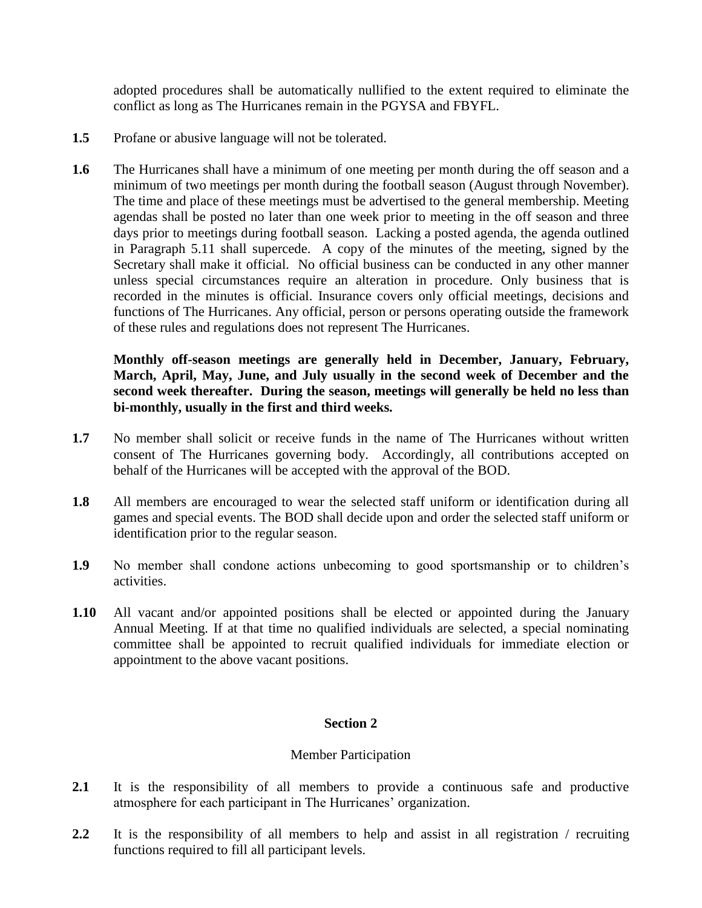adopted procedures shall be automatically nullified to the extent required to eliminate the conflict as long as The Hurricanes remain in the PGYSA and FBYFL.

- **1.5** Profane or abusive language will not be tolerated.
- **1.6** The Hurricanes shall have a minimum of one meeting per month during the off season and a minimum of two meetings per month during the football season (August through November). The time and place of these meetings must be advertised to the general membership. Meeting agendas shall be posted no later than one week prior to meeting in the off season and three days prior to meetings during football season. Lacking a posted agenda, the agenda outlined in Paragraph 5.11 shall supercede. A copy of the minutes of the meeting, signed by the Secretary shall make it official. No official business can be conducted in any other manner unless special circumstances require an alteration in procedure. Only business that is recorded in the minutes is official. Insurance covers only official meetings, decisions and functions of The Hurricanes. Any official, person or persons operating outside the framework of these rules and regulations does not represent The Hurricanes.

#### **Monthly off-season meetings are generally held in December, January, February, March, April, May, June, and July usually in the second week of December and the second week thereafter. During the season, meetings will generally be held no less than bi-monthly, usually in the first and third weeks.**

- **1.7** No member shall solicit or receive funds in the name of The Hurricanes without written consent of The Hurricanes governing body. Accordingly, all contributions accepted on behalf of the Hurricanes will be accepted with the approval of the BOD.
- **1.8** All members are encouraged to wear the selected staff uniform or identification during all games and special events. The BOD shall decide upon and order the selected staff uniform or identification prior to the regular season.
- **1.9** No member shall condone actions unbecoming to good sportsmanship or to children's activities.
- **1.10** All vacant and/or appointed positions shall be elected or appointed during the January Annual Meeting. If at that time no qualified individuals are selected, a special nominating committee shall be appointed to recruit qualified individuals for immediate election or appointment to the above vacant positions.

## **Section 2**

## Member Participation

- **2.1** It is the responsibility of all members to provide a continuous safe and productive atmosphere for each participant in The Hurricanes' organization.
- **2.2** It is the responsibility of all members to help and assist in all registration / recruiting functions required to fill all participant levels.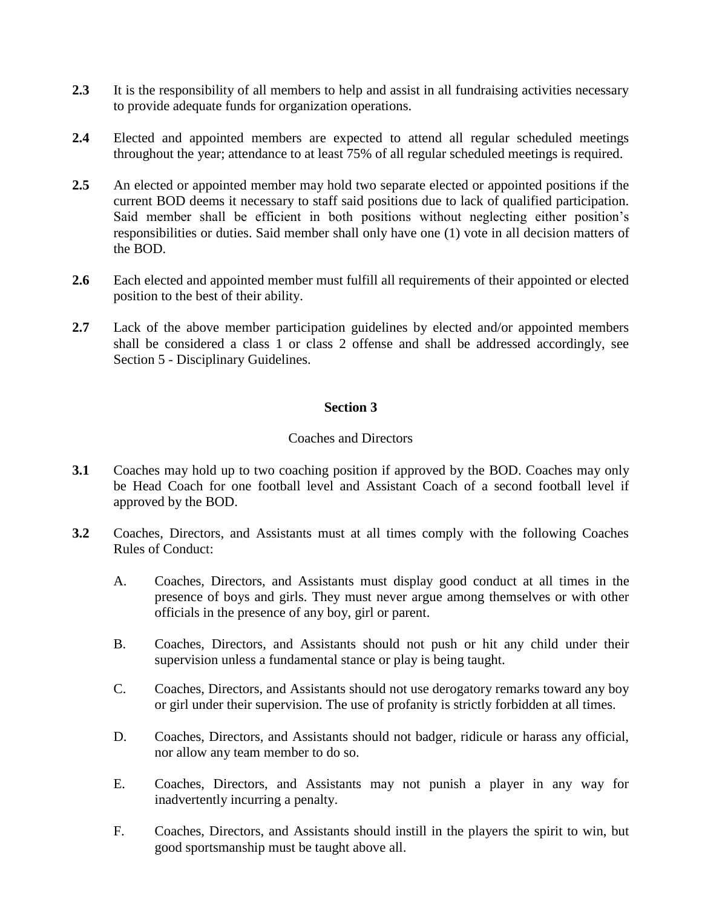- 2.3 It is the responsibility of all members to help and assist in all fundraising activities necessary to provide adequate funds for organization operations.
- **2.4** Elected and appointed members are expected to attend all regular scheduled meetings throughout the year; attendance to at least 75% of all regular scheduled meetings is required.
- **2.5** An elected or appointed member may hold two separate elected or appointed positions if the current BOD deems it necessary to staff said positions due to lack of qualified participation. Said member shall be efficient in both positions without neglecting either position's responsibilities or duties. Said member shall only have one (1) vote in all decision matters of the BOD.
- **2.6** Each elected and appointed member must fulfill all requirements of their appointed or elected position to the best of their ability.
- **2.7** Lack of the above member participation guidelines by elected and/or appointed members shall be considered a class 1 or class 2 offense and shall be addressed accordingly, see Section 5 - Disciplinary Guidelines.

#### **Section 3**

#### Coaches and Directors

- **3.1** Coaches may hold up to two coaching position if approved by the BOD. Coaches may only be Head Coach for one football level and Assistant Coach of a second football level if approved by the BOD.
- **3.2** Coaches, Directors, and Assistants must at all times comply with the following Coaches Rules of Conduct:
	- A. Coaches, Directors, and Assistants must display good conduct at all times in the presence of boys and girls. They must never argue among themselves or with other officials in the presence of any boy, girl or parent.
	- B. Coaches, Directors, and Assistants should not push or hit any child under their supervision unless a fundamental stance or play is being taught.
	- C. Coaches, Directors, and Assistants should not use derogatory remarks toward any boy or girl under their supervision. The use of profanity is strictly forbidden at all times.
	- D. Coaches, Directors, and Assistants should not badger, ridicule or harass any official, nor allow any team member to do so.
	- E. Coaches, Directors, and Assistants may not punish a player in any way for inadvertently incurring a penalty.
	- F. Coaches, Directors, and Assistants should instill in the players the spirit to win, but good sportsmanship must be taught above all.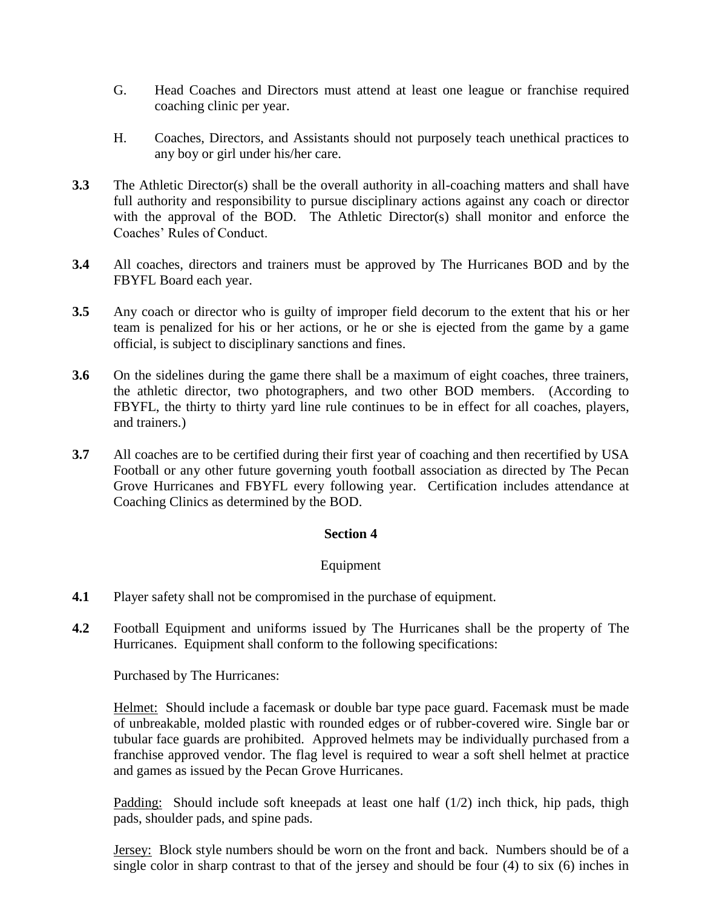- G. Head Coaches and Directors must attend at least one league or franchise required coaching clinic per year.
- H. Coaches, Directors, and Assistants should not purposely teach unethical practices to any boy or girl under his/her care.
- **3.3** The Athletic Director(s) shall be the overall authority in all-coaching matters and shall have full authority and responsibility to pursue disciplinary actions against any coach or director with the approval of the BOD. The Athletic Director(s) shall monitor and enforce the Coaches' Rules of Conduct.
- **3.4** All coaches, directors and trainers must be approved by The Hurricanes BOD and by the FBYFL Board each year.
- **3.5** Any coach or director who is guilty of improper field decorum to the extent that his or her team is penalized for his or her actions, or he or she is ejected from the game by a game official, is subject to disciplinary sanctions and fines.
- **3.6** On the sidelines during the game there shall be a maximum of eight coaches, three trainers, the athletic director, two photographers, and two other BOD members. (According to FBYFL, the thirty to thirty yard line rule continues to be in effect for all coaches, players, and trainers.)
- **3.7** All coaches are to be certified during their first year of coaching and then recertified by USA Football or any other future governing youth football association as directed by The Pecan Grove Hurricanes and FBYFL every following year. Certification includes attendance at Coaching Clinics as determined by the BOD.

## **Section 4**

## Equipment

- **4.1** Player safety shall not be compromised in the purchase of equipment.
- **4.2** Football Equipment and uniforms issued by The Hurricanes shall be the property of The Hurricanes. Equipment shall conform to the following specifications:

Purchased by The Hurricanes:

Helmet: Should include a facemask or double bar type pace guard. Facemask must be made of unbreakable, molded plastic with rounded edges or of rubber-covered wire. Single bar or tubular face guards are prohibited. Approved helmets may be individually purchased from a franchise approved vendor. The flag level is required to wear a soft shell helmet at practice and games as issued by the Pecan Grove Hurricanes.

Padding: Should include soft kneepads at least one half (1/2) inch thick, hip pads, thigh pads, shoulder pads, and spine pads.

Jersey: Block style numbers should be worn on the front and back. Numbers should be of a single color in sharp contrast to that of the jersey and should be four (4) to six (6) inches in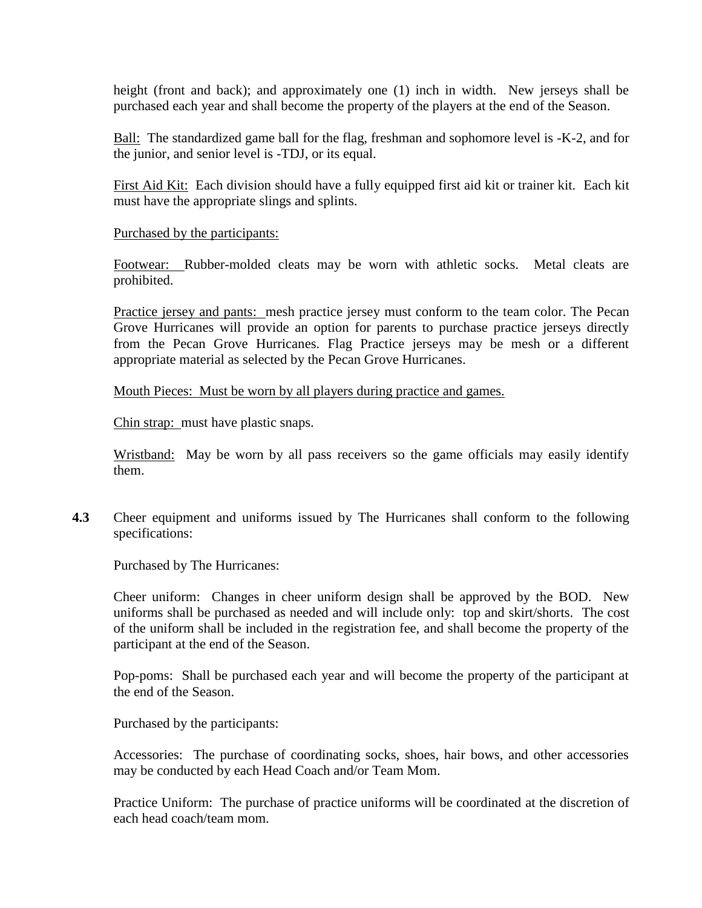height (front and back); and approximately one (1) inch in width. New jerseys shall be purchased each year and shall become the property of the players at the end of the Season.

Ball: The standardized game ball for the flag, freshman and sophomore level is -K-2, and for the junior, and senior level is -TDJ, or its equal.

First Aid Kit: Each division should have a fully equipped first aid kit or trainer kit. Each kit must have the appropriate slings and splints.

Purchased by the participants:

Footwear: Rubber-molded cleats may be worn with athletic socks. Metal cleats are prohibited.

Practice jersey and pants: mesh practice jersey must conform to the team color. The Pecan Grove Hurricanes will provide an option for parents to purchase practice jerseys directly from the Pecan Grove Hurricanes. Flag Practice jerseys may be mesh or a different appropriate material as selected by the Pecan Grove Hurricanes.

Mouth Pieces: Must be worn by all players during practice and games.

Chin strap: must have plastic snaps.

Wristband: May be worn by all pass receivers so the game officials may easily identify them.

**4.3** Cheer equipment and uniforms issued by The Hurricanes shall conform to the following specifications:

Purchased by The Hurricanes:

Cheer uniform: Changes in cheer uniform design shall be approved by the BOD. New uniforms shall be purchased as needed and will include only: top and skirt/shorts. The cost of the uniform shall be included in the registration fee, and shall become the property of the participant at the end of the Season.

Pop-poms: Shall be purchased each year and will become the property of the participant at the end of the Season.

Purchased by the participants:

Accessories: The purchase of coordinating socks, shoes, hair bows, and other accessories may be conducted by each Head Coach and/or Team Mom.

Practice Uniform: The purchase of practice uniforms will be coordinated at the discretion of each head coach/team mom.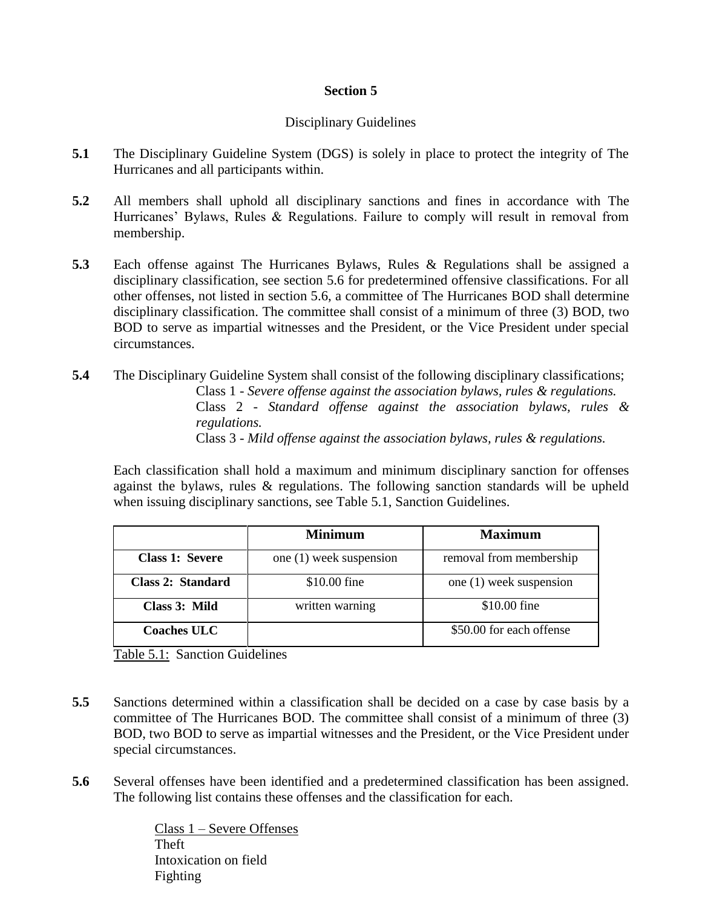#### **Section 5**

#### Disciplinary Guidelines

- **5.1** The Disciplinary Guideline System (DGS) is solely in place to protect the integrity of The Hurricanes and all participants within.
- **5.2** All members shall uphold all disciplinary sanctions and fines in accordance with The Hurricanes' Bylaws, Rules & Regulations. Failure to comply will result in removal from membership.
- **5.3** Each offense against The Hurricanes Bylaws, Rules & Regulations shall be assigned a disciplinary classification, see section 5.6 for predetermined offensive classifications. For all other offenses, not listed in section 5.6, a committee of The Hurricanes BOD shall determine disciplinary classification. The committee shall consist of a minimum of three (3) BOD, two BOD to serve as impartial witnesses and the President, or the Vice President under special circumstances.
- **5.4** The Disciplinary Guideline System shall consist of the following disciplinary classifications; Class 1 - *Severe offense against the association bylaws, rules & regulations.* Class 2 - *Standard offense against the association bylaws, rules & regulations.* Class 3 - *Mild offense against the association bylaws, rules & regulations.*

Each classification shall hold a maximum and minimum disciplinary sanction for offenses against the bylaws, rules & regulations. The following sanction standards will be upheld when issuing disciplinary sanctions, see Table 5.1, Sanction Guidelines.

|                        | Minimum                   | Maximum                   |
|------------------------|---------------------------|---------------------------|
| <b>Class 1: Severe</b> | one $(1)$ week suspension | removal from membership   |
| Class 2: Standard      | $$10.00$ fine             | one $(1)$ week suspension |
| Class 3: Mild          | written warning           | $$10.00$ fine             |
| <b>Coaches ULC</b>     |                           | \$50.00 for each offense  |

Table 5.1: Sanction Guidelines

- **5.5** Sanctions determined within a classification shall be decided on a case by case basis by a committee of The Hurricanes BOD. The committee shall consist of a minimum of three (3) BOD, two BOD to serve as impartial witnesses and the President, or the Vice President under special circumstances.
- **5.6** Several offenses have been identified and a predetermined classification has been assigned. The following list contains these offenses and the classification for each.

Class 1 – Severe Offenses Theft Intoxication on field Fighting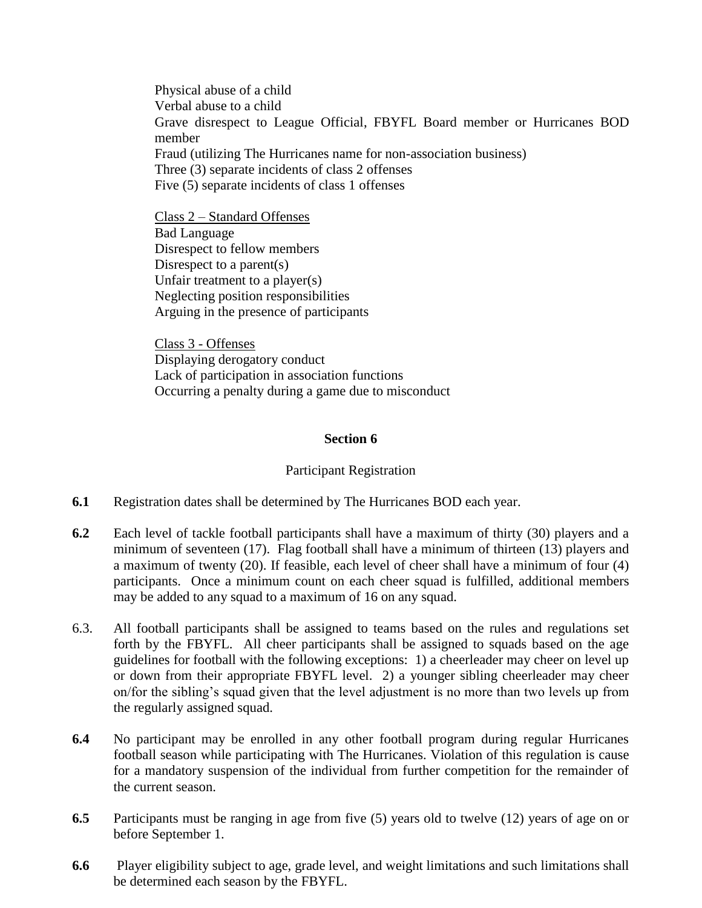Physical abuse of a child Verbal abuse to a child Grave disrespect to League Official, FBYFL Board member or Hurricanes BOD member Fraud (utilizing The Hurricanes name for non-association business) Three (3) separate incidents of class 2 offenses Five (5) separate incidents of class 1 offenses

Class 2 – Standard Offenses Bad Language Disrespect to fellow members Disrespect to a parent(s) Unfair treatment to a player(s) Neglecting position responsibilities Arguing in the presence of participants

Class 3 - Offenses Displaying derogatory conduct Lack of participation in association functions Occurring a penalty during a game due to misconduct

#### **Section 6**

#### Participant Registration

- **6.1** Registration dates shall be determined by The Hurricanes BOD each year.
- **6.2** Each level of tackle football participants shall have a maximum of thirty (30) players and a minimum of seventeen (17). Flag football shall have a minimum of thirteen (13) players and a maximum of twenty (20). If feasible, each level of cheer shall have a minimum of four (4) participants. Once a minimum count on each cheer squad is fulfilled, additional members may be added to any squad to a maximum of 16 on any squad.
- 6.3. All football participants shall be assigned to teams based on the rules and regulations set forth by the FBYFL. All cheer participants shall be assigned to squads based on the age guidelines for football with the following exceptions: 1) a cheerleader may cheer on level up or down from their appropriate FBYFL level. 2) a younger sibling cheerleader may cheer on/for the sibling's squad given that the level adjustment is no more than two levels up from the regularly assigned squad.
- **6.4** No participant may be enrolled in any other football program during regular Hurricanes football season while participating with The Hurricanes. Violation of this regulation is cause for a mandatory suspension of the individual from further competition for the remainder of the current season.
- **6.5** Participants must be ranging in age from five (5) years old to twelve (12) years of age on or before September 1.
- **6.6** Player eligibility subject to age, grade level, and weight limitations and such limitations shall be determined each season by the FBYFL.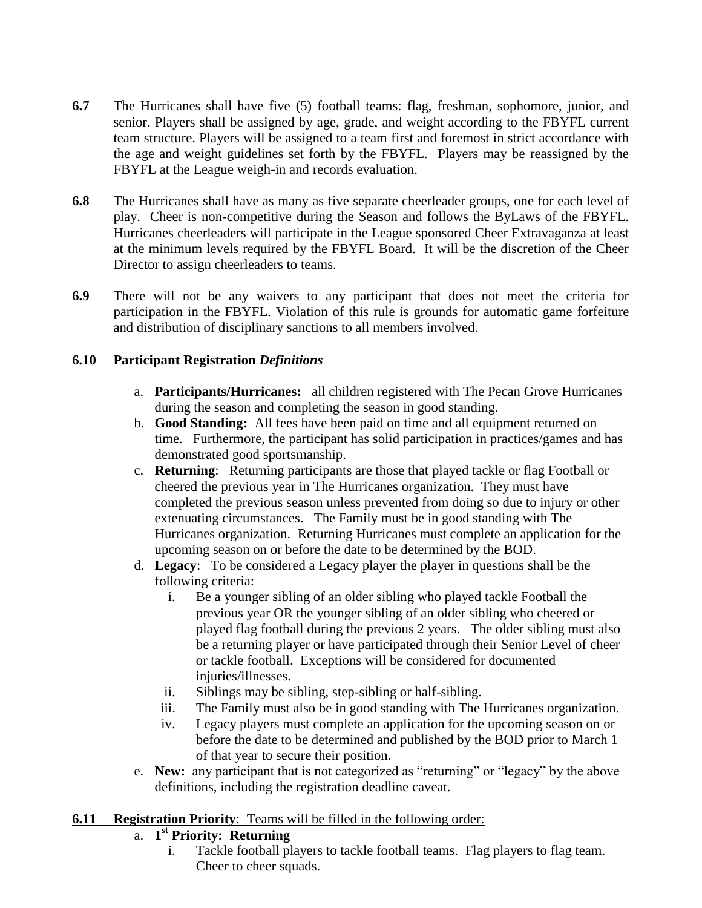- **6.7** The Hurricanes shall have five (5) football teams: flag, freshman, sophomore, junior, and senior. Players shall be assigned by age, grade, and weight according to the FBYFL current team structure. Players will be assigned to a team first and foremost in strict accordance with the age and weight guidelines set forth by the FBYFL. Players may be reassigned by the FBYFL at the League weigh-in and records evaluation.
- **6.8** The Hurricanes shall have as many as five separate cheerleader groups, one for each level of play. Cheer is non-competitive during the Season and follows the ByLaws of the FBYFL. Hurricanes cheerleaders will participate in the League sponsored Cheer Extravaganza at least at the minimum levels required by the FBYFL Board. It will be the discretion of the Cheer Director to assign cheerleaders to teams.
- **6.9** There will not be any waivers to any participant that does not meet the criteria for participation in the FBYFL. Violation of this rule is grounds for automatic game forfeiture and distribution of disciplinary sanctions to all members involved.

## **6.10 Participant Registration** *Definitions*

- a. **Participants/Hurricanes:** all children registered with The Pecan Grove Hurricanes during the season and completing the season in good standing.
- b. **Good Standing:** All fees have been paid on time and all equipment returned on time. Furthermore, the participant has solid participation in practices/games and has demonstrated good sportsmanship.
- c. **Returning**: Returning participants are those that played tackle or flag Football or cheered the previous year in The Hurricanes organization. They must have completed the previous season unless prevented from doing so due to injury or other extenuating circumstances. The Family must be in good standing with The Hurricanes organization. Returning Hurricanes must complete an application for the upcoming season on or before the date to be determined by the BOD.
- d. **Legacy**: To be considered a Legacy player the player in questions shall be the following criteria:
	- i. Be a younger sibling of an older sibling who played tackle Football the previous year OR the younger sibling of an older sibling who cheered or played flag football during the previous 2 years. The older sibling must also be a returning player or have participated through their Senior Level of cheer or tackle football. Exceptions will be considered for documented injuries/illnesses.
	- ii. Siblings may be sibling, step-sibling or half-sibling.
	- iii. The Family must also be in good standing with The Hurricanes organization.
	- iv. Legacy players must complete an application for the upcoming season on or before the date to be determined and published by the BOD prior to March 1 of that year to secure their position.
- e. **New:** any participant that is not categorized as "returning" or "legacy" by the above definitions, including the registration deadline caveat.

## **6.11 Registration Priority**: Teams will be filled in the following order:

# a. **1 st Priority: Returning**

i. Tackle football players to tackle football teams. Flag players to flag team. Cheer to cheer squads.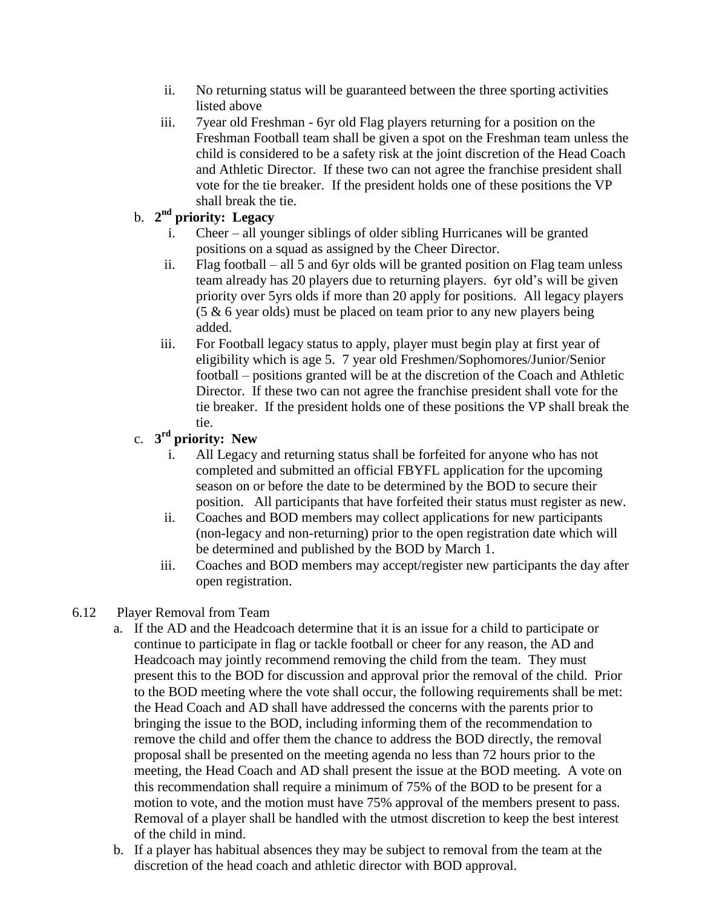- ii. No returning status will be guaranteed between the three sporting activities listed above
- iii. 7year old Freshman 6yr old Flag players returning for a position on the Freshman Football team shall be given a spot on the Freshman team unless the child is considered to be a safety risk at the joint discretion of the Head Coach and Athletic Director. If these two can not agree the franchise president shall vote for the tie breaker. If the president holds one of these positions the VP shall break the tie.
- b. **2 nd priority: Legacy**
	- i. Cheer all younger siblings of older sibling Hurricanes will be granted positions on a squad as assigned by the Cheer Director.
	- ii. Flag football all 5 and 6yr olds will be granted position on Flag team unless team already has 20 players due to returning players. 6yr old's will be given priority over 5yrs olds if more than 20 apply for positions. All legacy players  $(5 \& 6 \text{ year}$  olds) must be placed on team prior to any new players being added.
	- iii. For Football legacy status to apply, player must begin play at first year of eligibility which is age 5. 7 year old Freshmen/Sophomores/Junior/Senior football – positions granted will be at the discretion of the Coach and Athletic Director. If these two can not agree the franchise president shall vote for the tie breaker. If the president holds one of these positions the VP shall break the tie.

# c. **3 rd priority: New**

- i. All Legacy and returning status shall be forfeited for anyone who has not completed and submitted an official FBYFL application for the upcoming season on or before the date to be determined by the BOD to secure their position. All participants that have forfeited their status must register as new.
- ii. Coaches and BOD members may collect applications for new participants (non-legacy and non-returning) prior to the open registration date which will be determined and published by the BOD by March 1.
- iii. Coaches and BOD members may accept/register new participants the day after open registration.

## 6.12 Player Removal from Team

- a. If the AD and the Headcoach determine that it is an issue for a child to participate or continue to participate in flag or tackle football or cheer for any reason, the AD and Headcoach may jointly recommend removing the child from the team. They must present this to the BOD for discussion and approval prior the removal of the child. Prior to the BOD meeting where the vote shall occur, the following requirements shall be met: the Head Coach and AD shall have addressed the concerns with the parents prior to bringing the issue to the BOD, including informing them of the recommendation to remove the child and offer them the chance to address the BOD directly, the removal proposal shall be presented on the meeting agenda no less than 72 hours prior to the meeting, the Head Coach and AD shall present the issue at the BOD meeting. A vote on this recommendation shall require a minimum of 75% of the BOD to be present for a motion to vote, and the motion must have 75% approval of the members present to pass. Removal of a player shall be handled with the utmost discretion to keep the best interest of the child in mind.
- b. If a player has habitual absences they may be subject to removal from the team at the discretion of the head coach and athletic director with BOD approval.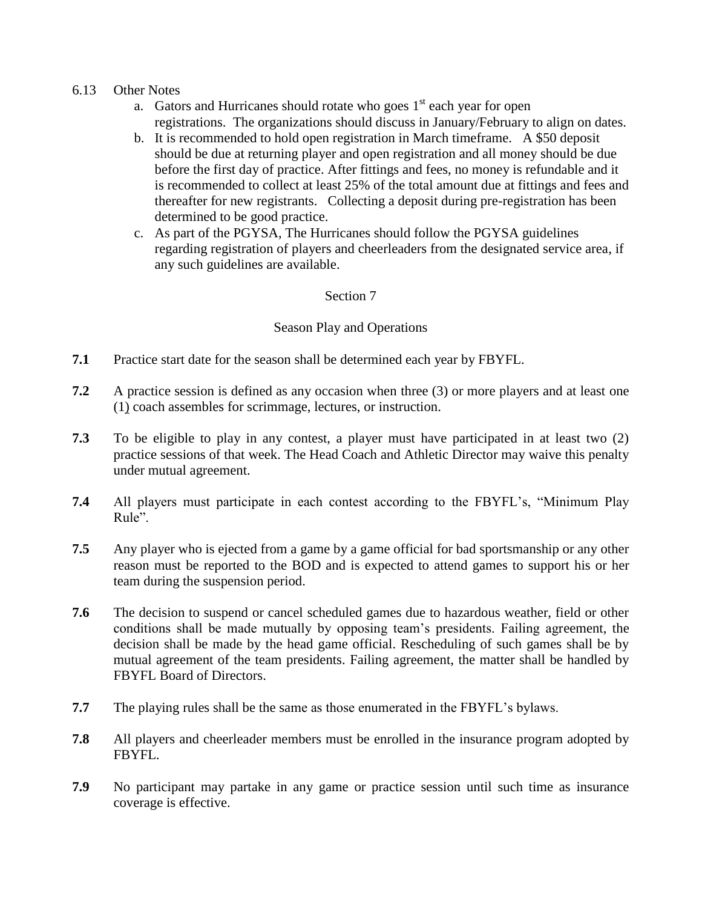#### 6.13 Other Notes

- a. Gators and Hurricanes should rotate who goes  $1<sup>st</sup>$  each year for open registrations. The organizations should discuss in January/February to align on dates.
- b. It is recommended to hold open registration in March timeframe. A \$50 deposit should be due at returning player and open registration and all money should be due before the first day of practice. After fittings and fees, no money is refundable and it is recommended to collect at least 25% of the total amount due at fittings and fees and thereafter for new registrants. Collecting a deposit during pre-registration has been determined to be good practice.
- c. As part of the PGYSA, The Hurricanes should follow the PGYSA guidelines regarding registration of players and cheerleaders from the designated service area, if any such guidelines are available.

#### Section 7

#### Season Play and Operations

- **7.1** Practice start date for the season shall be determined each year by FBYFL.
- **7.2** A practice session is defined as any occasion when three (3) or more players and at least one (1) coach assembles for scrimmage, lectures, or instruction.
- **7.3** To be eligible to play in any contest, a player must have participated in at least two (2) practice sessions of that week. The Head Coach and Athletic Director may waive this penalty under mutual agreement.
- **7.4** All players must participate in each contest according to the FBYFL's, "Minimum Play Rule".
- **7.5** Any player who is ejected from a game by a game official for bad sportsmanship or any other reason must be reported to the BOD and is expected to attend games to support his or her team during the suspension period.
- **7.6** The decision to suspend or cancel scheduled games due to hazardous weather, field or other conditions shall be made mutually by opposing team's presidents. Failing agreement, the decision shall be made by the head game official. Rescheduling of such games shall be by mutual agreement of the team presidents. Failing agreement, the matter shall be handled by FBYFL Board of Directors.
- **7.7** The playing rules shall be the same as those enumerated in the FBYFL's bylaws.
- **7.8** All players and cheerleader members must be enrolled in the insurance program adopted by FBYFL.
- **7.9** No participant may partake in any game or practice session until such time as insurance coverage is effective.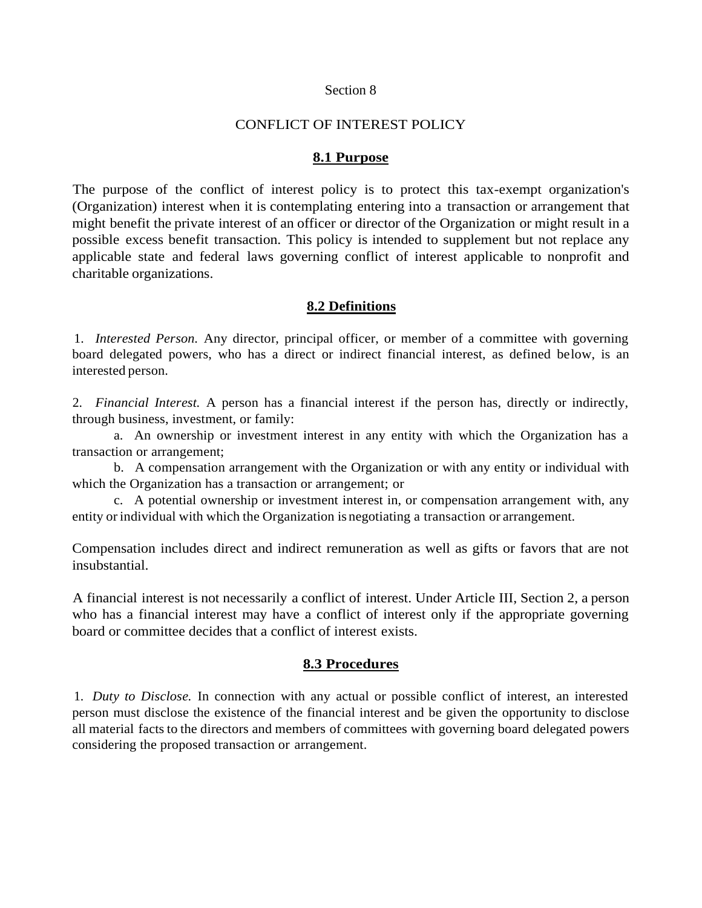#### Section 8

#### CONFLICT OF INTEREST POLICY

#### **8.1 Purpose**

The purpose of the conflict of interest policy is to protect this tax-exempt organization's (Organization) interest when it is contemplating entering into a transaction or arrangement that might benefit the private interest of an officer or director of the Organization or might result in a possible excess benefit transaction. This policy is intended to supplement but not replace any applicable state and federal laws governing conflict of interest applicable to nonprofit and charitable organizations.

#### **8.2 Definitions**

1. *Interested Person.* Any director, principal officer, or member of a committee with governing board delegated powers, who has a direct or indirect financial interest, as defined below, is an interested person.

2. *Financial Interest.* A person has a financial interest if the person has, directly or indirectly, through business, investment, or family:

a. An ownership or investment interest in any entity with which the Organization has a transaction or arrangement;

b. A compensation arrangement with the Organization or with any entity or individual with which the Organization has a transaction or arrangement; or

c. A potential ownership or investment interest in, or compensation arrangement with, any entity or individual with which the Organization is negotiating a transaction or arrangement.

Compensation includes direct and indirect remuneration as well as gifts or favors that are not insubstantial.

A financial interest is not necessarily a conflict of interest. Under Article III, Section 2, a person who has a financial interest may have a conflict of interest only if the appropriate governing board or committee decides that a conflict of interest exists.

#### **8.3 Procedures**

1. *Duty to Disclose.* In connection with any actual or possible conflict of interest, an interested person must disclose the existence of the financial interest and be given the opportunity to disclose all material facts to the directors and members of committees with governing board delegated powers considering the proposed transaction or arrangement.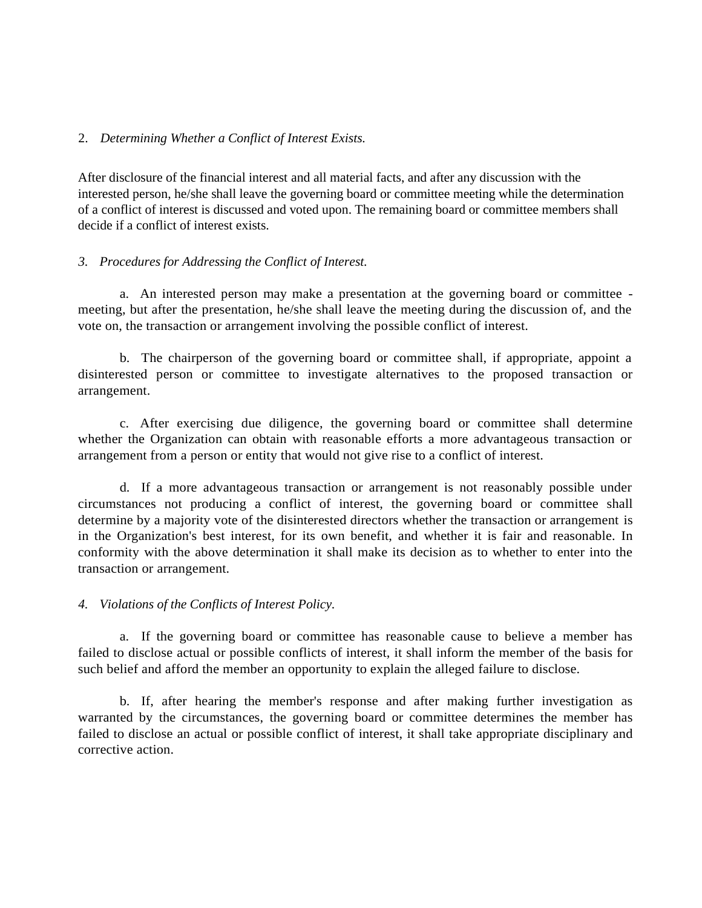#### 2. *Determining Whether a Conflict of Interest Exists.*

After disclosure of the financial interest and all material facts, and after any discussion with the interested person, he/she shall leave the governing board or committee meeting while the determination of a conflict of interest is discussed and voted upon. The remaining board or committee members shall decide if a conflict of interest exists.

#### *3. Procedures for Addressing the Conflict of Interest.*

a. An interested person may make a presentation at the governing board or committee meeting, but after the presentation, he/she shall leave the meeting during the discussion of, and the vote on, the transaction or arrangement involving the possible conflict of interest.

b. The chairperson of the governing board or committee shall, if appropriate, appoint a disinterested person or committee to investigate alternatives to the proposed transaction or arrangement.

c. After exercising due diligence, the governing board or committee shall determine whether the Organization can obtain with reasonable efforts a more advantageous transaction or arrangement from a person or entity that would not give rise to a conflict of interest.

d. If a more advantageous transaction or arrangement is not reasonably possible under circumstances not producing a conflict of interest, the governing board or committee shall determine by a majority vote of the disinterested directors whether the transaction or arrangement is in the Organization's best interest, for its own benefit, and whether it is fair and reasonable. In conformity with the above determination it shall make its decision as to whether to enter into the transaction or arrangement.

#### *4. Violations of the Conflicts of Interest Policy.*

a. If the governing board or committee has reasonable cause to believe a member has failed to disclose actual or possible conflicts of interest, it shall inform the member of the basis for such belief and afford the member an opportunity to explain the alleged failure to disclose.

b. If, after hearing the member's response and after making further investigation as warranted by the circumstances, the governing board or committee determines the member has failed to disclose an actual or possible conflict of interest, it shall take appropriate disciplinary and corrective action.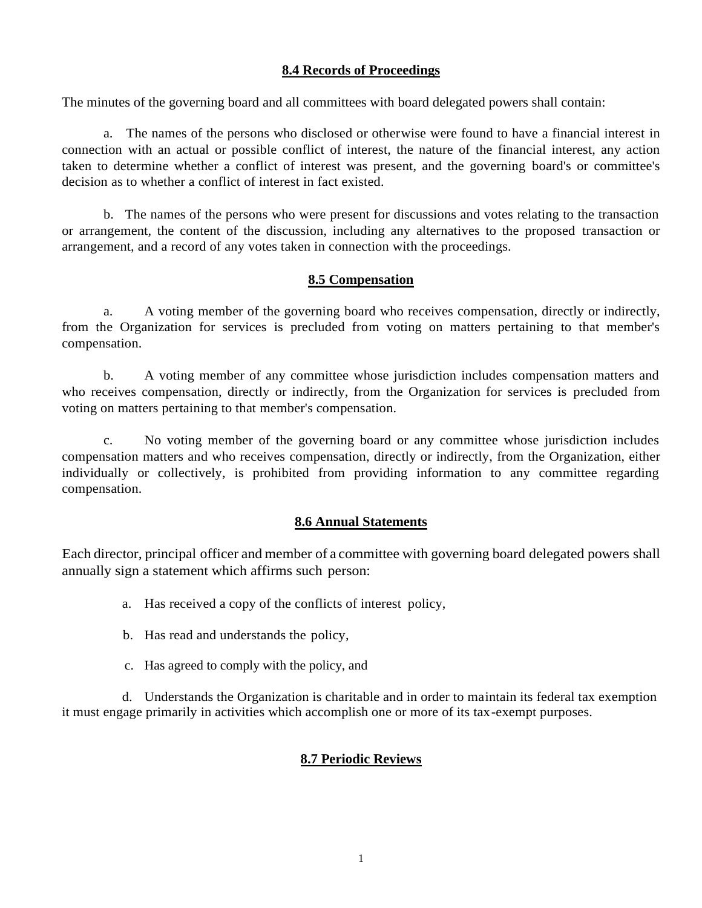#### **8.4 Records of Proceedings**

The minutes of the governing board and all committees with board delegated powers shall contain:

a. The names of the persons who disclosed or otherwise were found to have a financial interest in connection with an actual or possible conflict of interest, the nature of the financial interest, any action taken to determine whether a conflict of interest was present, and the governing board's or committee's decision as to whether a conflict of interest in fact existed.

b. The names of the persons who were present for discussions and votes relating to the transaction or arrangement, the content of the discussion, including any alternatives to the proposed transaction or arrangement, and a record of any votes taken in connection with the proceedings.

## **8.5 Compensation**

a. A voting member of the governing board who receives compensation, directly or indirectly, from the Organization for services is precluded from voting on matters pertaining to that member's compensation.

b. A voting member of any committee whose jurisdiction includes compensation matters and who receives compensation, directly or indirectly, from the Organization for services is precluded from voting on matters pertaining to that member's compensation.

c. No voting member of the governing board or any committee whose jurisdiction includes compensation matters and who receives compensation, directly or indirectly, from the Organization, either individually or collectively, is prohibited from providing information to any committee regarding compensation.

#### **8.6 Annual Statements**

Each director, principal officer and member of a committee with governing board delegated powers shall annually sign a statement which affirms such person:

- a. Has received a copy of the conflicts of interest policy,
- b. Has read and understands the policy,
- c. Has agreed to comply with the policy, and

 d. Understands the Organization is charitable and in order to maintain its federal tax exemption it must engage primarily in activities which accomplish one or more of its tax-exempt purposes.

## **8.7 Periodic Reviews**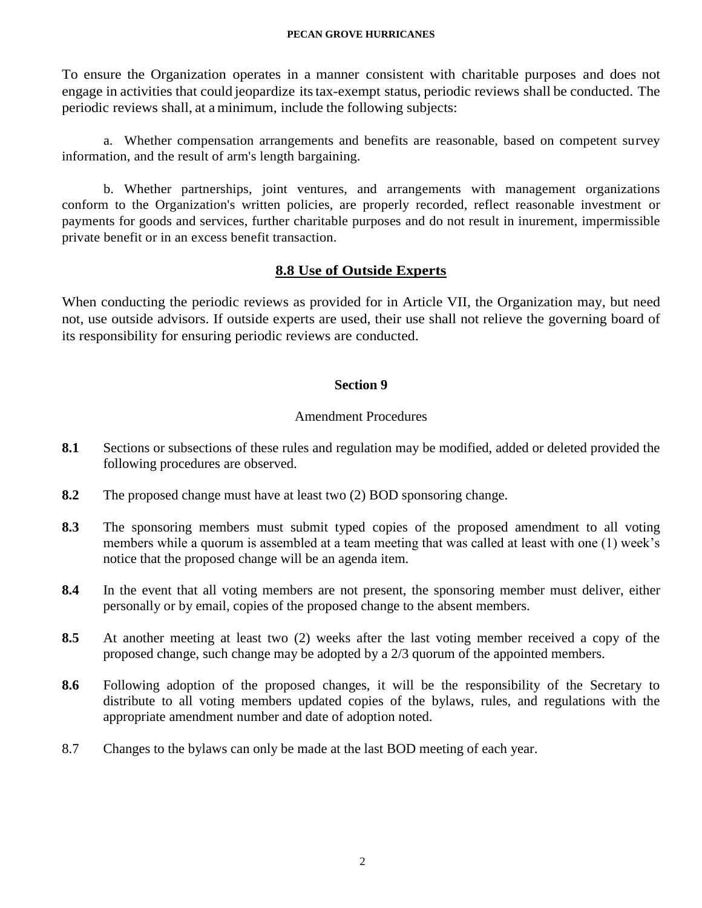#### **PECAN GROVE HURRICANES**

To ensure the Organization operates in a manner consistent with charitable purposes and does not engage in activities that could jeopardize its tax-exempt status, periodic reviews shall be conducted. The periodic reviews shall, at a minimum, include the following subjects:

a. Whether compensation arrangements and benefits are reasonable, based on competent survey information, and the result of arm's length bargaining.

b. Whether partnerships, joint ventures, and arrangements with management organizations conform to the Organization's written policies, are properly recorded, reflect reasonable investment or payments for goods and services, further charitable purposes and do not result in inurement, impermissible private benefit or in an excess benefit transaction.

#### **8.8 Use of Outside Experts**

When conducting the periodic reviews as provided for in Article VII, the Organization may, but need not, use outside advisors. If outside experts are used, their use shall not relieve the governing board of its responsibility for ensuring periodic reviews are conducted.

#### **Section 9**

#### Amendment Procedures

- **8.1** Sections or subsections of these rules and regulation may be modified, added or deleted provided the following procedures are observed.
- **8.2** The proposed change must have at least two (2) BOD sponsoring change.
- **8.3** The sponsoring members must submit typed copies of the proposed amendment to all voting members while a quorum is assembled at a team meeting that was called at least with one (1) week's notice that the proposed change will be an agenda item.
- **8.4** In the event that all voting members are not present, the sponsoring member must deliver, either personally or by email, copies of the proposed change to the absent members.
- **8.5** At another meeting at least two (2) weeks after the last voting member received a copy of the proposed change, such change may be adopted by a 2/3 quorum of the appointed members.
- **8.6** Following adoption of the proposed changes, it will be the responsibility of the Secretary to distribute to all voting members updated copies of the bylaws, rules, and regulations with the appropriate amendment number and date of adoption noted.
- 8.7 Changes to the bylaws can only be made at the last BOD meeting of each year.